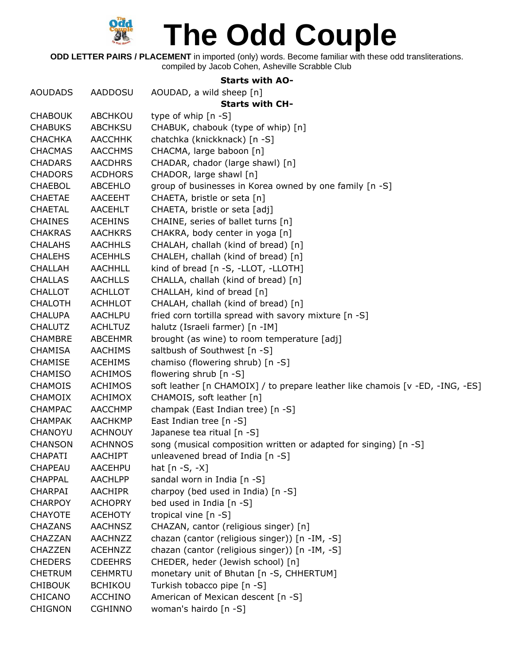

**ODD LETTER PAIRS / PLACEMENT** in imported (only) words. Become familiar with these odd transliterations. compiled by Jacob Cohen, Asheville Scrabble Club

## **Starts with AO-**

|                |                | JLAI LJ WILII MUT                                                             |
|----------------|----------------|-------------------------------------------------------------------------------|
| <b>AOUDADS</b> | AADDOSU        | AOUDAD, a wild sheep [n]                                                      |
|                |                | <b>Starts with CH-</b>                                                        |
| <b>CHABOUK</b> | ABCHKOU        | type of whip [n -S]                                                           |
| <b>CHABUKS</b> | <b>ABCHKSU</b> | CHABUK, chabouk (type of whip) [n]                                            |
| <b>CHACHKA</b> | <b>AACCHHK</b> | chatchka (knickknack) [n -S]                                                  |
| <b>CHACMAS</b> | <b>AACCHMS</b> | CHACMA, large baboon [n]                                                      |
| <b>CHADARS</b> | <b>AACDHRS</b> | CHADAR, chador (large shawl) [n]                                              |
| <b>CHADORS</b> | <b>ACDHORS</b> | CHADOR, large shawl [n]                                                       |
| <b>CHAEBOL</b> | ABCEHLO        | group of businesses in Korea owned by one family [n -S]                       |
| <b>CHAETAE</b> | <b>AACEEHT</b> | CHAETA, bristle or seta [n]                                                   |
| <b>CHAETAL</b> | <b>AACEHLT</b> | CHAETA, bristle or seta [adj]                                                 |
| <b>CHAINES</b> | <b>ACEHINS</b> | CHAINE, series of ballet turns [n]                                            |
| <b>CHAKRAS</b> | <b>AACHKRS</b> | CHAKRA, body center in yoga [n]                                               |
| <b>CHALAHS</b> | <b>AACHHLS</b> | CHALAH, challah (kind of bread) [n]                                           |
| <b>CHALEHS</b> | <b>ACEHHLS</b> | CHALEH, challah (kind of bread) [n]                                           |
| <b>CHALLAH</b> | <b>AACHHLL</b> | kind of bread [n -S, -LLOT, -LLOTH]                                           |
| <b>CHALLAS</b> | <b>AACHLLS</b> | CHALLA, challah (kind of bread) [n]                                           |
| <b>CHALLOT</b> | <b>ACHLLOT</b> | CHALLAH, kind of bread [n]                                                    |
| <b>CHALOTH</b> | <b>ACHHLOT</b> | CHALAH, challah (kind of bread) [n]                                           |
| <b>CHALUPA</b> | <b>AACHLPU</b> | fried corn tortilla spread with savory mixture [n -S]                         |
| <b>CHALUTZ</b> | <b>ACHLTUZ</b> | halutz (Israeli farmer) [n -IM]                                               |
| <b>CHAMBRE</b> | <b>ABCEHMR</b> | brought (as wine) to room temperature [adj]                                   |
| <b>CHAMISA</b> | <b>AACHIMS</b> | saltbush of Southwest [n -S]                                                  |
| <b>CHAMISE</b> | <b>ACEHIMS</b> | chamiso (flowering shrub) [n -S]                                              |
| <b>CHAMISO</b> | <b>ACHIMOS</b> | flowering shrub [n -S]                                                        |
| <b>CHAMOIS</b> | <b>ACHIMOS</b> | soft leather [n CHAMOIX] / to prepare leather like chamois [v -ED, -ING, -ES] |
| <b>CHAMOIX</b> | <b>ACHIMOX</b> | CHAMOIS, soft leather [n]                                                     |
| <b>CHAMPAC</b> | <b>AACCHMP</b> | champak (East Indian tree) [n -S]                                             |
| <b>CHAMPAK</b> | <b>AACHKMP</b> | East Indian tree [n -S]                                                       |
| CHANOYU        | <b>ACHNOUY</b> | Japanese tea ritual [n -S]                                                    |
| <b>CHANSON</b> | <b>ACHNNOS</b> | song (musical composition written or adapted for singing) [n -S]              |
| <b>CHAPATI</b> | <b>AACHIPT</b> | unleavened bread of India [n -S]                                              |
| <b>CHAPEAU</b> | AACEHPU        | hat $[n -S, -X]$                                                              |
| <b>CHAPPAL</b> | <b>AACHLPP</b> | sandal worn in India [n -S]                                                   |
| <b>CHARPAI</b> | <b>AACHIPR</b> | charpoy (bed used in India) [n -S]                                            |
| <b>CHARPOY</b> | <b>ACHOPRY</b> | bed used in India [n -S]                                                      |
| <b>CHAYOTE</b> | <b>ACEHOTY</b> | tropical vine [n -S]                                                          |
| <b>CHAZANS</b> | <b>AACHNSZ</b> | CHAZAN, cantor (religious singer) [n]                                         |
| CHAZZAN        | AACHNZZ        | chazan (cantor (religious singer)) [n -IM, -S]                                |
| <b>CHAZZEN</b> | <b>ACEHNZZ</b> | chazan (cantor (religious singer)) [n -IM, -S]                                |
| <b>CHEDERS</b> | <b>CDEEHRS</b> | CHEDER, heder (Jewish school) [n]                                             |
| <b>CHETRUM</b> | <b>CEHMRTU</b> | monetary unit of Bhutan [n -S, CHHERTUM]                                      |
| <b>CHIBOUK</b> | <b>BCHIKOU</b> | Turkish tobacco pipe [n -S]                                                   |
| <b>CHICANO</b> | <b>ACCHINO</b> | American of Mexican descent [n -S]                                            |
| <b>CHIGNON</b> | <b>CGHINNO</b> | woman's hairdo [n -S]                                                         |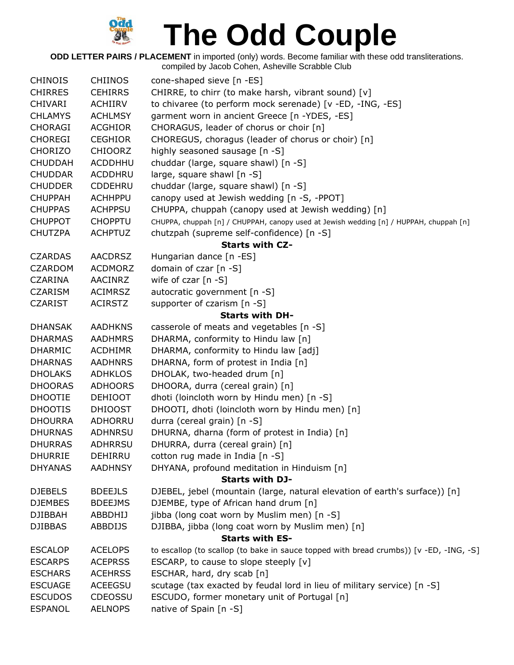

**ODD LETTER PAIRS / PLACEMENT** in imported (only) words. Become familiar with these odd transliterations. compiled by Jacob Cohen, Asheville Scrabble Club

| <b>CHINOIS</b> | <b>CHIINOS</b> |                                                                                        |
|----------------|----------------|----------------------------------------------------------------------------------------|
|                |                | cone-shaped sieve [n -ES]                                                              |
| <b>CHIRRES</b> | <b>CEHIRRS</b> | CHIRRE, to chirr (to make harsh, vibrant sound) [v]                                    |
| <b>CHIVARI</b> | ACHIIRV        | to chivaree (to perform mock serenade) [v -ED, -ING, -ES]                              |
| <b>CHLAMYS</b> | <b>ACHLMSY</b> | garment worn in ancient Greece [n -YDES, -ES]                                          |
| <b>CHORAGI</b> | <b>ACGHIOR</b> | CHORAGUS, leader of chorus or choir [n]                                                |
| <b>CHOREGI</b> | <b>CEGHIOR</b> | CHOREGUS, choragus (leader of chorus or choir) [n]                                     |
| CHORIZO        | <b>CHIOORZ</b> | highly seasoned sausage [n -S]                                                         |
| <b>CHUDDAH</b> | <b>ACDDHHU</b> | chuddar (large, square shawl) [n -S]                                                   |
| <b>CHUDDAR</b> | <b>ACDDHRU</b> | large, square shawl [n -S]                                                             |
| <b>CHUDDER</b> | <b>CDDEHRU</b> | chuddar (large, square shawl) [n -S]                                                   |
| <b>CHUPPAH</b> | <b>ACHHPPU</b> | canopy used at Jewish wedding [n -S, -PPOT]                                            |
| <b>CHUPPAS</b> | <b>ACHPPSU</b> | CHUPPA, chuppah (canopy used at Jewish wedding) [n]                                    |
| <b>CHUPPOT</b> | <b>CHOPPTU</b> | CHUPPA, chuppah [n] / CHUPPAH, canopy used at Jewish wedding [n] / HUPPAH, chuppah [n] |
| <b>CHUTZPA</b> | <b>ACHPTUZ</b> | chutzpah (supreme self-confidence) [n -S]                                              |
|                |                | <b>Starts with CZ-</b>                                                                 |
| <b>CZARDAS</b> | <b>AACDRSZ</b> | Hungarian dance [n -ES]                                                                |
| <b>CZARDOM</b> | <b>ACDMORZ</b> | domain of czar [n -S]                                                                  |
| <b>CZARINA</b> | AACINRZ        | wife of czar $[n -S]$                                                                  |
| <b>CZARISM</b> | <b>ACIMRSZ</b> | autocratic government [n -S]                                                           |
| <b>CZARIST</b> | <b>ACIRSTZ</b> | supporter of czarism [n -S]                                                            |
|                |                | <b>Starts with DH-</b>                                                                 |
| <b>DHANSAK</b> | <b>AADHKNS</b> | casserole of meats and vegetables [n -S]                                               |
| <b>DHARMAS</b> | <b>AADHMRS</b> | DHARMA, conformity to Hindu law [n]                                                    |
| <b>DHARMIC</b> | <b>ACDHIMR</b> | DHARMA, conformity to Hindu law [adj]                                                  |
| <b>DHARNAS</b> | <b>AADHNRS</b> | DHARNA, form of protest in India [n]                                                   |
| <b>DHOLAKS</b> | <b>ADHKLOS</b> | DHOLAK, two-headed drum [n]                                                            |
| <b>DHOORAS</b> | <b>ADHOORS</b> | DHOORA, durra (cereal grain) [n]                                                       |
| <b>DHOOTIE</b> | <b>DEHIOOT</b> | dhoti (loincloth worn by Hindu men) [n -S]                                             |
| <b>DHOOTIS</b> | <b>DHIOOST</b> | DHOOTI, dhoti (loincloth worn by Hindu men) [n]                                        |
| <b>DHOURRA</b> | ADHORRU        | durra (cereal grain) [n -S]                                                            |
| <b>DHURNAS</b> | <b>ADHNRSU</b> | DHURNA, dharna (form of protest in India) [n]                                          |
| <b>DHURRAS</b> | <b>ADHRRSU</b> | DHURRA, durra (cereal grain) [n]                                                       |
| <b>DHURRIE</b> | <b>DEHIRRU</b> | cotton rug made in India [n -S]                                                        |
| <b>DHYANAS</b> | <b>AADHNSY</b> | DHYANA, profound meditation in Hinduism [n]                                            |
|                |                | <b>Starts with DJ-</b>                                                                 |
|                |                |                                                                                        |
| <b>DJEBELS</b> | <b>BDEEJLS</b> | DJEBEL, jebel (mountain (large, natural elevation of earth's surface)) [n]             |
| <b>DJEMBES</b> | <b>BDEEJMS</b> | DJEMBE, type of African hand drum [n]                                                  |
| <b>DJIBBAH</b> | ABBDHIJ        | jibba (long coat worn by Muslim men) [n -S]                                            |
| <b>DJIBBAS</b> | <b>ABBDIJS</b> | DJIBBA, jibba (long coat worn by Muslim men) [n]                                       |
|                |                | <b>Starts with ES-</b>                                                                 |
| <b>ESCALOP</b> | <b>ACELOPS</b> | to escallop (to scallop (to bake in sauce topped with bread crumbs)) [v -ED, -ING, -S] |
| <b>ESCARPS</b> | <b>ACEPRSS</b> | ESCARP, to cause to slope steeply [v]                                                  |
| <b>ESCHARS</b> | <b>ACEHRSS</b> | ESCHAR, hard, dry scab [n]                                                             |
| <b>ESCUAGE</b> | <b>ACEEGSU</b> | scutage (tax exacted by feudal lord in lieu of military service) [n -S]                |
| <b>ESCUDOS</b> | <b>CDEOSSU</b> | ESCUDO, former monetary unit of Portugal [n]                                           |
| <b>ESPANOL</b> | <b>AELNOPS</b> | native of Spain [n -S]                                                                 |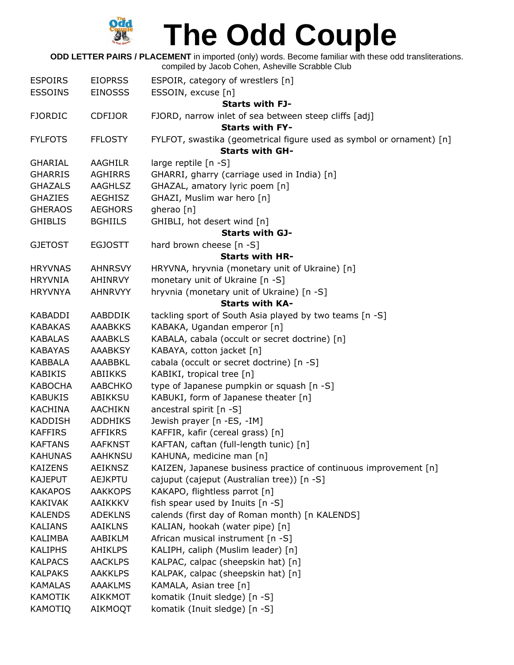

**ODD LETTER PAIRS / PLACEMENT** in imported (only) words. Become familiar with these odd transliterations. compiled by Jacob Cohen, Asheville Scrabble Club

| <b>ESPOIRS</b> | <b>EIOPRSS</b> | ESPOIR, category of wrestlers [n]                                    |
|----------------|----------------|----------------------------------------------------------------------|
| <b>ESSOINS</b> | <b>EINOSSS</b> | ESSOIN, excuse [n]                                                   |
|                |                | <b>Starts with FJ-</b>                                               |
| <b>FJORDIC</b> | <b>CDFIJOR</b> | FJORD, narrow inlet of sea between steep cliffs [adj]                |
|                |                | <b>Starts with FY-</b>                                               |
| <b>FYLFOTS</b> | <b>FFLOSTY</b> | FYLFOT, swastika (geometrical figure used as symbol or ornament) [n] |
|                |                | <b>Starts with GH-</b>                                               |
| <b>GHARIAL</b> | <b>AAGHILR</b> | large reptile [n -S]                                                 |
| <b>GHARRIS</b> | <b>AGHIRRS</b> | GHARRI, gharry (carriage used in India) [n]                          |
| <b>GHAZALS</b> | AAGHLSZ        | GHAZAL, amatory lyric poem [n]                                       |
| <b>GHAZIES</b> | <b>AEGHISZ</b> | GHAZI, Muslim war hero [n]                                           |
| <b>GHERAOS</b> | <b>AEGHORS</b> | gherao [n]                                                           |
| <b>GHIBLIS</b> | <b>BGHIILS</b> | GHIBLI, hot desert wind [n]                                          |
|                |                | <b>Starts with GJ-</b>                                               |
| <b>GJETOST</b> | <b>EGJOSTT</b> | hard brown cheese [n -S]                                             |
|                |                | <b>Starts with HR-</b>                                               |
| <b>HRYVNAS</b> | <b>AHNRSVY</b> | HRYVNA, hryvnia (monetary unit of Ukraine) [n]                       |
| <b>HRYVNIA</b> | AHINRVY        | monetary unit of Ukraine [n -S]                                      |
| <b>HRYVNYA</b> | AHNRVYY        | hryvnia (monetary unit of Ukraine) [n -S]                            |
|                |                | <b>Starts with KA-</b>                                               |
| <b>KABADDI</b> | AABDDIK        | tackling sport of South Asia played by two teams [n -S]              |
| <b>KABAKAS</b> | <b>AAABKKS</b> | KABAKA, Ugandan emperor [n]                                          |
| <b>KABALAS</b> | <b>AAABKLS</b> | KABALA, cabala (occult or secret doctrine) [n]                       |
| <b>KABAYAS</b> | <b>AAABKSY</b> | KABAYA, cotton jacket [n]                                            |
| KABBALA        | AAABBKL        | cabala (occult or secret doctrine) [n -S]                            |
| <b>KABIKIS</b> | ABIIKKS        | KABIKI, tropical tree [n]                                            |
| <b>KABOCHA</b> | <b>AABCHKO</b> | type of Japanese pumpkin or squash [n -S]                            |
| <b>KABUKIS</b> | ABIKKSU        | KABUKI, form of Japanese theater [n]                                 |
| <b>KACHINA</b> | <b>AACHIKN</b> | ancestral spirit [n -S]                                              |
| <b>KADDISH</b> | <b>ADDHIKS</b> | Jewish prayer [n -ES, -IM]                                           |
| <b>KAFFIRS</b> | <b>AFFIKRS</b> | KAFFIR, kafir (cereal grass) [n]                                     |
| <b>KAFTANS</b> | <b>AAFKNST</b> | KAFTAN, caftan (full-length tunic) [n]                               |
| <b>KAHUNAS</b> | <b>AAHKNSU</b> | KAHUNA, medicine man [n]                                             |
| <b>KAIZENS</b> | <b>AEIKNSZ</b> | KAIZEN, Japanese business practice of continuous improvement [n]     |
| <b>KAJEPUT</b> | <b>AEJKPTU</b> | cajuput (cajeput (Australian tree)) [n -S]                           |
| <b>KAKAPOS</b> | <b>AAKKOPS</b> | KAKAPO, flightless parrot [n]                                        |
| KAKIVAK        | <b>AAIKKKV</b> | fish spear used by Inuits [n -S]                                     |
| <b>KALENDS</b> | <b>ADEKLNS</b> | calends (first day of Roman month) [n KALENDS]                       |
| <b>KALIANS</b> | <b>AAIKLNS</b> | KALIAN, hookah (water pipe) [n]                                      |
| KALIMBA        | AABIKLM        | African musical instrument [n -S]                                    |
| <b>KALIPHS</b> | <b>AHIKLPS</b> | KALIPH, caliph (Muslim leader) [n]                                   |
| <b>KALPACS</b> | <b>AACKLPS</b> | KALPAC, calpac (sheepskin hat) [n]                                   |
| KALPAKS        | <b>AAKKLPS</b> | KALPAK, calpac (sheepskin hat) [n]                                   |
| <b>KAMALAS</b> | <b>AAAKLMS</b> | KAMALA, Asian tree [n]                                               |
| <b>KAMOTIK</b> | AIKKMOT        | komatik (Inuit sledge) [n -S]                                        |
| <b>KAMOTIQ</b> | AIKMOQT        | komatik (Inuit sledge) [n -S]                                        |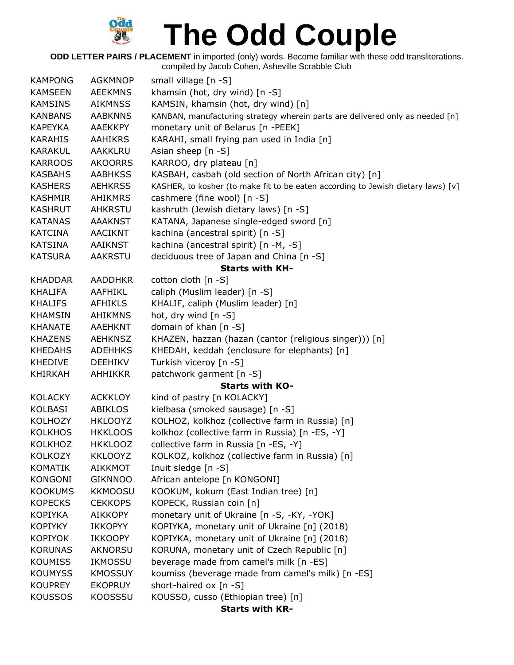

**ODD LETTER PAIRS / PLACEMENT** in imported (only) words. Become familiar with these odd transliterations. compiled by Jacob Cohen, Asheville Scrabble Club

| <b>KAMPONG</b> | <b>AGKMNOP</b> | small village [n -S]                                                             |
|----------------|----------------|----------------------------------------------------------------------------------|
| <b>KAMSEEN</b> | <b>AEEKMNS</b> | khamsin (hot, dry wind) [n -S]                                                   |
| <b>KAMSINS</b> | <b>AIKMNSS</b> | KAMSIN, khamsin (hot, dry wind) [n]                                              |
| <b>KANBANS</b> | <b>AABKNNS</b> | KANBAN, manufacturing strategy wherein parts are delivered only as needed [n]    |
| <b>KAPEYKA</b> | <b>AAEKKPY</b> | monetary unit of Belarus [n -PEEK]                                               |
| <b>KARAHIS</b> | <b>AAHIKRS</b> | KARAHI, small frying pan used in India [n]                                       |
| <b>KARAKUL</b> | AAKKLRU        | Asian sheep [n -S]                                                               |
| <b>KARROOS</b> | <b>AKOORRS</b> | KARROO, dry plateau [n]                                                          |
| <b>KASBAHS</b> | <b>AABHKSS</b> | KASBAH, casbah (old section of North African city) [n]                           |
| <b>KASHERS</b> | <b>AEHKRSS</b> | KASHER, to kosher (to make fit to be eaten according to Jewish dietary laws) [v] |
| <b>KASHMIR</b> | <b>AHIKMRS</b> | cashmere (fine wool) [n -S]                                                      |
| <b>KASHRUT</b> | <b>AHKRSTU</b> | kashruth (Jewish dietary laws) [n -S]                                            |
| <b>KATANAS</b> | <b>AAAKNST</b> | KATANA, Japanese single-edged sword [n]                                          |
| <b>KATCINA</b> | <b>AACIKNT</b> | kachina (ancestral spirit) [n -S]                                                |
| <b>KATSINA</b> | <b>AAIKNST</b> | kachina (ancestral spirit) [n -M, -S]                                            |
| <b>KATSURA</b> | <b>AAKRSTU</b> | deciduous tree of Japan and China [n -S]                                         |
|                |                | <b>Starts with KH-</b>                                                           |
| <b>KHADDAR</b> | <b>AADDHKR</b> | cotton cloth [n -S]                                                              |
| KHALIFA        | AAFHIKL        | caliph (Muslim leader) [n -S]                                                    |
| <b>KHALIFS</b> | <b>AFHIKLS</b> | KHALIF, caliph (Muslim leader) [n]                                               |
| <b>KHAMSIN</b> | <b>AHIKMNS</b> | hot, dry wind $[n - S]$                                                          |
| <b>KHANATE</b> | <b>AAEHKNT</b> | domain of khan [n -S]                                                            |
| <b>KHAZENS</b> | <b>AEHKNSZ</b> | KHAZEN, hazzan (hazan (cantor (religious singer))) [n]                           |
| <b>KHEDAHS</b> | <b>ADEHHKS</b> | KHEDAH, keddah (enclosure for elephants) [n]                                     |
| <b>KHEDIVE</b> | <b>DEEHIKV</b> | Turkish viceroy [n -S]                                                           |
| <b>KHIRKAH</b> | <b>AHHIKKR</b> | patchwork garment [n -S]                                                         |
|                |                | <b>Starts with KO-</b>                                                           |
| <b>KOLACKY</b> | <b>ACKKLOY</b> | kind of pastry [n KOLACKY]                                                       |
| <b>KOLBASI</b> | <b>ABIKLOS</b> | kielbasa (smoked sausage) [n -S]                                                 |
| <b>KOLHOZY</b> | <b>HKLOOYZ</b> | KOLHOZ, kolkhoz (collective farm in Russia) [n]                                  |
| <b>KOLKHOS</b> | <b>HKKLOOS</b> | kolkhoz (collective farm in Russia) [n -ES, -Y]                                  |
| KOLKHOZ        | <b>HKKLOOZ</b> | collective farm in Russia [n -ES, -Y]                                            |
| KOLKOZY        | <b>KKLOOYZ</b> | KOLKOZ, kolkhoz (collective farm in Russia) [n]                                  |
| <b>KOMATIK</b> | <b>AIKKMOT</b> | Inuit sledge [n -S]                                                              |
| <b>KONGONI</b> | <b>GIKNNOO</b> | African antelope [n KONGONI]                                                     |
| <b>KOOKUMS</b> | <b>KKMOOSU</b> | KOOKUM, kokum (East Indian tree) [n]                                             |
| <b>KOPECKS</b> | <b>CEKKOPS</b> | KOPECK, Russian coin [n]                                                         |
| <b>KOPIYKA</b> | <b>AIKKOPY</b> | monetary unit of Ukraine [n -S, -KY, -YOK]                                       |
| <b>KOPIYKY</b> | <b>IKKOPYY</b> | KOPIYKA, monetary unit of Ukraine [n] (2018)                                     |
| <b>KOPIYOK</b> | <b>IKKOOPY</b> | KOPIYKA, monetary unit of Ukraine [n] (2018)                                     |
| <b>KORUNAS</b> | AKNORSU        | KORUNA, monetary unit of Czech Republic [n]                                      |
| <b>KOUMISS</b> | IKMOSSU        | beverage made from camel's milk [n -ES]                                          |
| <b>KOUMYSS</b> | <b>KMOSSUY</b> | koumiss (beverage made from camel's milk) [n -ES]                                |
| <b>KOUPREY</b> | <b>EKOPRUY</b> | short-haired ox [n -S]                                                           |
| <b>KOUSSOS</b> | <b>KOOSSSU</b> | KOUSSO, cusso (Ethiopian tree) [n]                                               |
|                |                | Ctarte with KD.                                                                  |

**Starts with KR-**